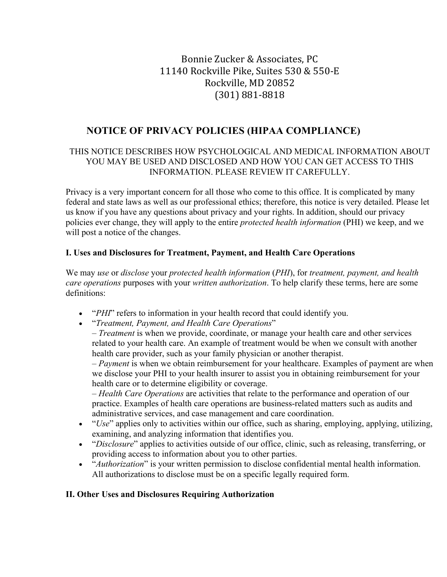# Bonnie Zucker & Associates, PC 11140 Rockville Pike, Suites 530 & 550-E Rockville, MD 20852 (301) 881-8818

# **NOTICE OF PRIVACY POLICIES (HIPAA COMPLIANCE)**

#### THIS NOTICE DESCRIBES HOW PSYCHOLOGICAL AND MEDICAL INFORMATION ABOUT YOU MAY BE USED AND DISCLOSED AND HOW YOU CAN GET ACCESS TO THIS INFORMATION. PLEASE REVIEW IT CAREFULLY.

Privacy is a very important concern for all those who come to this office. It is complicated by many federal and state laws as well as our professional ethics; therefore, this notice is very detailed. Please let us know if you have any questions about privacy and your rights. In addition, should our privacy policies ever change, they will apply to the entire *protected health information* (PHI) we keep, and we will post a notice of the changes.

#### **I. Uses and Disclosures for Treatment, Payment, and Health Care Operations**

We may *use* or *disclose* your *protected health information* (*PHI*), for *treatment, payment, and health care operations* purposes with your *written authorization*. To help clarify these terms, here are some definitions:

- "*PHI*" refers to information in your health record that could identify you.
- "*Treatment, Payment, and Health Care Operations*"

– *Treatment* is when we provide, coordinate, or manage your health care and other services related to your health care. An example of treatment would be when we consult with another health care provider, such as your family physician or another therapist.

– *Payment* is when we obtain reimbursement for your healthcare. Examples of payment are when we disclose your PHI to your health insurer to assist you in obtaining reimbursement for your health care or to determine eligibility or coverage.

– *Health Care Operations* are activities that relate to the performance and operation of our practice. Examples of health care operations are business-related matters such as audits and administrative services, and case management and care coordination.

- "*Use*" applies only to activities within our office, such as sharing, employing, applying, utilizing, examining, and analyzing information that identifies you.
- "*Disclosure*" applies to activities outside of our office, clinic, such as releasing, transferring, or providing access to information about you to other parties.
- "*Authorization*" is your written permission to disclose confidential mental health information. All authorizations to disclose must be on a specific legally required form.

#### **II. Other Uses and Disclosures Requiring Authorization**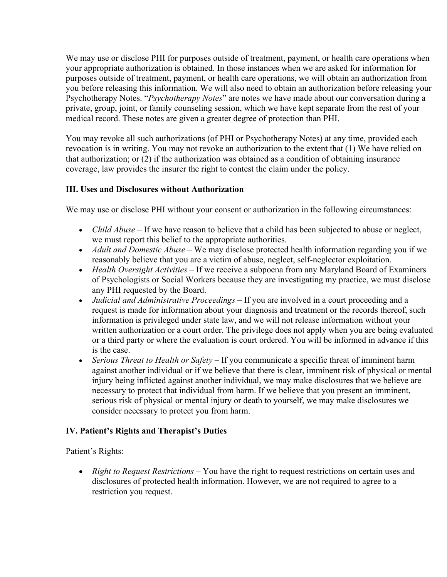We may use or disclose PHI for purposes outside of treatment, payment, or health care operations when your appropriate authorization is obtained. In those instances when we are asked for information for purposes outside of treatment, payment, or health care operations, we will obtain an authorization from you before releasing this information. We will also need to obtain an authorization before releasing your Psychotherapy Notes. "*Psychotherapy Notes*" are notes we have made about our conversation during a private, group, joint, or family counseling session, which we have kept separate from the rest of your medical record. These notes are given a greater degree of protection than PHI.

You may revoke all such authorizations (of PHI or Psychotherapy Notes) at any time, provided each revocation is in writing. You may not revoke an authorization to the extent that (1) We have relied on that authorization; or (2) if the authorization was obtained as a condition of obtaining insurance coverage, law provides the insurer the right to contest the claim under the policy.

#### **III. Uses and Disclosures without Authorization**

We may use or disclose PHI without your consent or authorization in the following circumstances:

- *Child Abuse* If we have reason to believe that a child has been subjected to abuse or neglect, we must report this belief to the appropriate authorities.
- *Adult and Domestic Abuse* We may disclose protected health information regarding you if we reasonably believe that you are a victim of abuse, neglect, self-neglector exploitation.
- *Health Oversight Activities*  If we receive a subpoena from any Maryland Board of Examiners of Psychologists or Social Workers because they are investigating my practice, we must disclose any PHI requested by the Board.
- *Judicial and Administrative Proceedings*  If you are involved in a court proceeding and a request is made for information about your diagnosis and treatment or the records thereof, such information is privileged under state law, and we will not release information without your written authorization or a court order. The privilege does not apply when you are being evaluated or a third party or where the evaluation is court ordered. You will be informed in advance if this is the case.
- *Serious Threat to Health or Safety*  If you communicate a specific threat of imminent harm against another individual or if we believe that there is clear, imminent risk of physical or mental injury being inflicted against another individual, we may make disclosures that we believe are necessary to protect that individual from harm. If we believe that you present an imminent, serious risk of physical or mental injury or death to yourself, we may make disclosures we consider necessary to protect you from harm.

#### **IV. Patient's Rights and Therapist's Duties**

Patient's Rights:

• *Right to Request Restrictions* – You have the right to request restrictions on certain uses and disclosures of protected health information. However, we are not required to agree to a restriction you request.